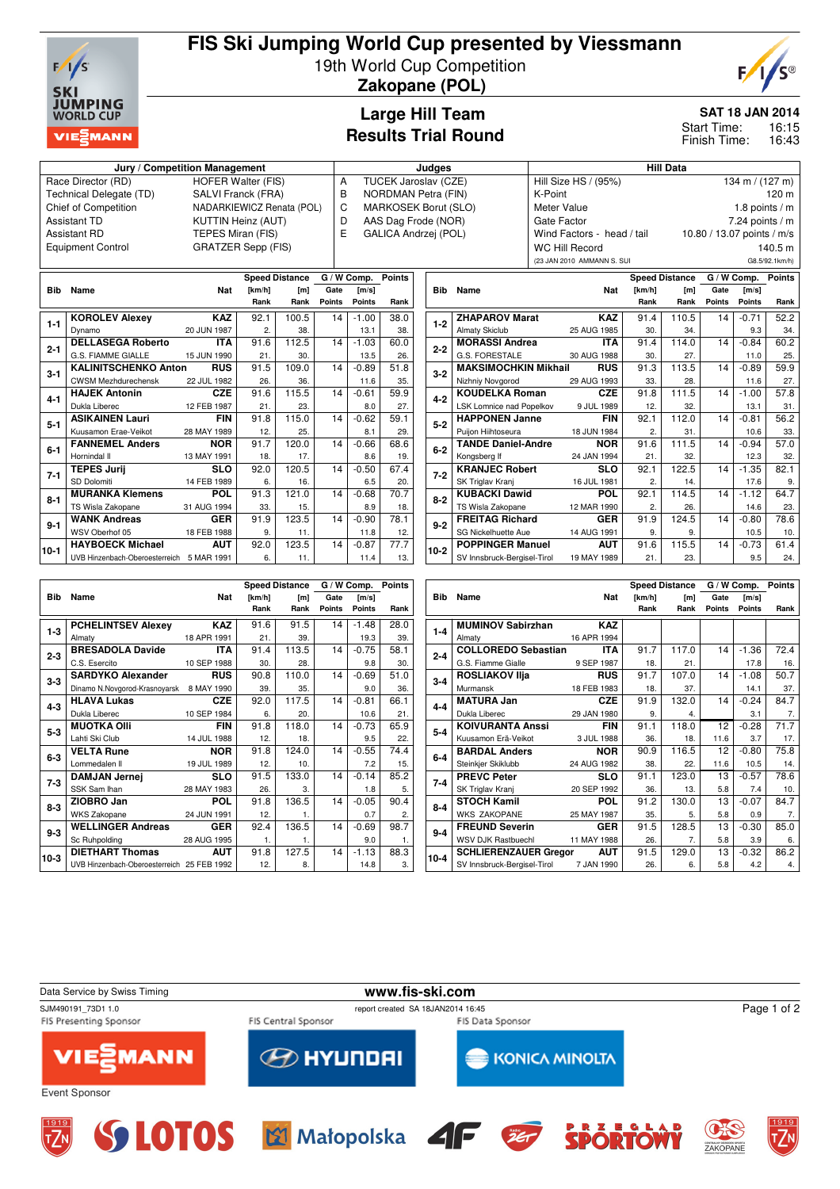

### **FIS Ski Jumping World Cup presented by Viessmann** 19th World Cup Competition

**Zakopane (POL)**



**SAT 18 JAN 2014**

16:15 16:43 Start Time: Finish Time:

### **Large Hill Team Results Trial Round**

| Jury / Competition Management                                                                      |                           |   | Judaes                      |  | <b>Hill Data</b>           |                            |  |  |  |
|----------------------------------------------------------------------------------------------------|---------------------------|---|-----------------------------|--|----------------------------|----------------------------|--|--|--|
| Race Director (RD)                                                                                 | <b>HOFER Walter (FIS)</b> | А | <b>TUCEK Jaroslav (CZE)</b> |  | Hill Size HS / (95%)       | 134 m / $(127 m)$          |  |  |  |
| Technical Delegate (TD)                                                                            | SALVI Franck (FRA)        | в | NORDMAN Petra (FIN)         |  | K-Point                    | $120 \text{ m}$            |  |  |  |
| Chief of Competition                                                                               | NADARKIEWICZ Renata (POL) | C | MARKOSEK Borut (SLO)        |  | Meter Value                | 1.8 points / m             |  |  |  |
| Assistant TD                                                                                       | <b>KUTTIN Heinz (AUT)</b> | D | AAS Dag Frode (NOR)         |  | Gate Factor                | $7.24$ points / m          |  |  |  |
| Assistant RD                                                                                       | TEPES Miran (FIS)         |   | GALICA Andrzej (POL)        |  | Wind Factors - head / tail | 10.80 / 13.07 points / m/s |  |  |  |
| <b>Equipment Control</b>                                                                           | <b>GRATZER Sepp (FIS)</b> |   |                             |  | WC Hill Record             | 140.5 m                    |  |  |  |
|                                                                                                    |                           |   |                             |  | (23 JAN 2010 AMMANN S. SUI | G8.5/92.1km/h)             |  |  |  |
| Points I<br>G / W Comp.<br>Points<br>G / W Comp.<br><b>Speed Distance</b><br><b>Speed Distance</b> |                           |   |                             |  |                            |                            |  |  |  |

|          |                                           |             |                  | Speed Distance | G / W COMP.   | POINTS        |      |
|----------|-------------------------------------------|-------------|------------------|----------------|---------------|---------------|------|
| Bib      | Name                                      | <b>Nat</b>  | [km/h]           | [m]            | Gate          | [m/s]         |      |
|          |                                           |             | Rank             | Rank           | <b>Points</b> | <b>Points</b> | Rank |
| 1-1      | <b>KOROLEV Alexey</b>                     | <b>KAZ</b>  | 92.1             | 100.5          | 14            | $-1.00$       | 38.0 |
|          | Dynamo                                    | 20 JUN 1987 | $\overline{2}$ . | 38.            |               | 13.1          | 38.  |
| $2 - 1$  | <b>DELLASEGA Roberto</b>                  | <b>ITA</b>  | 91.6             | 112.5          | 14            | $-1.03$       | 60.0 |
|          | G.S. FIAMME GIALLE                        | 15 JUN 1990 | 21.              | 30.            |               | 13.5          | 26.  |
| $3-1$    | <b>KALINITSCHENKO Anton</b>               | <b>RUS</b>  | 91.5             | 109.0          | 14            | $-0.89$       | 51.8 |
|          | <b>CWSM Mezhdurechensk</b>                | 22 JUL 1982 | 26.              | 36.            |               | 11.6          | 35.  |
| 4-1      | <b>HAJEK Antonin</b>                      | CZE.        | 91.6             | 115.5          | 14            | $-0.61$       | 59.9 |
|          | Dukla Liberec                             | 12 FEB 1987 | 21.              | 23.            |               | 8.0           | 27.  |
| $5 - 1$  | <b>ASIKAINEN Lauri</b>                    | FIN         | 91.8             | 115.0          | 14            | $-0.62$       | 59.1 |
|          | Kuusamon Erae-Veikot                      | 28 MAY 1989 | 12.              | 25.            |               | 8.1           | 29.  |
| $6-1$    | <b>FANNEMEL Anders</b>                    | <b>NOR</b>  | 91.7             | 120.0          | 14            | $-0.66$       | 68.6 |
|          | Hornindal II                              | 13 MAY 1991 | 18.              | 17.            |               | 8.6           | 19.  |
| 7-1      | <b>TEPES Jurij</b>                        | <b>SLO</b>  | 92.0             | 120.5          | 14            | $-0.50$       | 67.4 |
|          | SD Dolomiti                               | 14 FEB 1989 | 6.               | 16.            |               | 6.5           | 20.  |
| $8 - 1$  | <b>MURANKA Klemens</b>                    | <b>POL</b>  | 91.3             | 121.0          | 14            | $-0.68$       | 70.7 |
|          | TS Wisla Zakopane                         | 31 AUG 1994 | 33.              | 15.            |               | 8.9           | 18.  |
| $9 - 1$  | <b>WANK Andreas</b>                       | <b>GER</b>  | 91.9             | 123.5          | 14            | $-0.90$       | 78.1 |
|          | WSV Oberhof 05                            | 18 FEB 1988 | 9.               | 11.            |               | 11.8          | 12.  |
| $10 - 1$ | <b>HAYBOECK Michael</b>                   | <b>AUT</b>  | 92.0             | 123.5          | 14            | $-0.87$       | 77.7 |
|          | UVB Hinzenbach-Oberoesterreich 5 MAR 1991 |             | 6.               | 11.            |               | 11.4          | 13.  |

|            |                             |             |                  | <b>Speed Distance</b> | G / W Comp.   | <b>Points</b> |      |
|------------|-----------------------------|-------------|------------------|-----------------------|---------------|---------------|------|
| <b>Bib</b> | Name                        | <b>Nat</b>  | [km/h]           | [m]                   | Gate          | [m/s]         |      |
|            |                             |             | Rank             | Rank                  | <b>Points</b> | <b>Points</b> | Rank |
|            | <b>ZHAPAROV Marat</b>       | <b>KAZ</b>  | 91.4             | 110.5                 | 14            | $-0.71$       | 52.2 |
| $1-2$      | <b>Almaty Skiclub</b>       | 25 AUG 1985 | 30.              | 34.                   |               | 9.3           | 34.  |
| $2 - 2$    | <b>MORASSI Andrea</b>       | <b>ITA</b>  | 91.4             | 114.0                 | 14            | $-0.84$       | 60.2 |
|            | G.S. FORESTALE              | 30 AUG 1988 | 30.              | 27.                   |               | 11.0          | 25.  |
| $3 - 2$    | <b>MAKSIMOCHKIN Mikhail</b> | <b>RUS</b>  | 91.3             | 113.5                 | 14            | $-0.89$       | 59.9 |
|            | Nizhniy Novgorod            | 29 AUG 1993 | 33.              | 28.                   |               | 11.6          | 27.  |
| $4 - 2$    | <b>KOUDELKA Roman</b>       | <b>CZE</b>  | 91.8             | 111.5                 | 14            | $-1.00$       | 57.8 |
|            | LSK Lomnice nad Popelkov    | 9 JUL 1989  | 12.              | 32.                   |               | 13.1          | 31.  |
| $5 - 2$    | <b>HAPPONEN Janne</b>       | <b>FIN</b>  | 92.1             | 112.0                 | 14            | $-0.81$       | 56.2 |
|            | Puijon Hiihtoseura          | 18 JUN 1984 | $\overline{2}$ . | 31.                   |               | 10.6          | 33.  |
| $6 - 2$    | <b>TANDE Daniel-Andre</b>   | <b>NOR</b>  | 91.6             | 111.5                 | 14            | $-0.94$       | 57.0 |
|            | Kongsberg If                | 24 JAN 1994 | 21.              | 32.                   |               | 12.3          | 32.  |
| $7 - 2$    | <b>KRANJEC Robert</b>       | <b>SLO</b>  | 92.1             | 122.5                 | 14            | $-1.35$       | 82.1 |
|            | SK Triglav Kranj            | 16 JUL 1981 | $\mathbf{2}$     | 14.                   |               | 17.6          | 9.   |
| $8 - 2$    | <b>KUBACKI Dawid</b>        | <b>POL</b>  | 92.1             | 114.5                 | 14            | $-1.12$       | 64.7 |
|            | TS Wisla Zakopane           | 12 MAR 1990 | 2.               | 26.                   |               | 14.6          | 23.  |
| $9 - 2$    | <b>FREITAG Richard</b>      | <b>GER</b>  | 91.9             | 124.5                 | 14            | $-0.80$       | 78.6 |
|            | SG Nickelhuette Aue         | 14 AUG 1991 | 9.               | 9.                    |               | 10.5          | 10.  |
| 10-2       | <b>POPPINGER Manuel</b>     | <b>AUT</b>  | 91.6             | 115.5                 | 14            | $-0.73$       | 61.4 |
|            | SV Innsbruck-Bergisel-Tirol | 19 MAY 1989 | 21.              | 23.                   |               | 9.5           | 24.  |

|            |                                            |             |        | <b>Speed Distance</b> | G / W Comp.   | <b>Points</b> |      |
|------------|--------------------------------------------|-------------|--------|-----------------------|---------------|---------------|------|
| <b>Bib</b> | Name                                       | Nat         | [km/h] | [ml]                  | Gate          | [m/s]         |      |
|            |                                            |             | Rank   | Rank                  | <b>Points</b> | <b>Points</b> | Rank |
| $1-3$      | <b>PCHELINTSEV Alexev</b>                  | <b>KAZ</b>  | 91.6   | 91.5                  | 14            | $-1.48$       | 28.0 |
|            | Almaty                                     | 18 APR 1991 | 21.    | 39.                   |               | 19.3          | 39.  |
| $2 - 3$    | <b>BRESADOLA Davide</b>                    | ITA.        | 91.4   | 113.5                 | 14            | $-0.75$       | 58.1 |
|            | C.S. Esercito                              | 10 SEP 1988 | 30.    | 28.                   |               | 9.8           | 30.  |
| $3 - 3$    | <b>SARDYKO Alexander</b>                   | <b>RUS</b>  | 90.8   | 110.0                 | 14            | $-0.69$       | 51.0 |
|            | Dinamo N.Novgorod-Krasnoyarsk              | 8 MAY 1990  | 39.    | 35.                   |               | 9.0           | 36.  |
| $4 - 3$    | <b>HLAVA Lukas</b>                         | <b>CZE</b>  | 92.0   | 117.5                 | 14            | $-0.81$       | 66.1 |
|            | Dukla Liberec                              | 10 SEP 1984 | 6.     | 20.                   |               | 10.6          | 21.  |
| $5 - 3$    | <b>MUOTKA OIII</b>                         | <b>FIN</b>  | 91.8   | 118.0                 | 14            | $-0.73$       | 65.9 |
|            | Lahti Ski Club                             | 14 JUL 1988 | 12.    | 18.                   |               | 9.5           | 22.  |
| $6 - 3$    | <b>VELTA Rune</b>                          | <b>NOR</b>  | 91.8   | 124.0                 | 14            | $-0.55$       | 74.4 |
|            | Lommedalen II                              | 19 JUL 1989 | 12.    | 10.                   |               | 7.2           | 15.  |
| 7-3        | <b>DAMJAN Jernej</b>                       | <b>SLO</b>  | 91.5   | 133.0                 | 14            | $-0.14$       | 85.2 |
|            | SSK Sam Ihan                               | 28 MAY 1983 | 26.    | 3.                    |               | 1.8           | 5.   |
| $8 - 3$    | ZIOBRO Jan                                 | <b>POL</b>  | 91.8   | 136.5                 | 14            | $-0.05$       | 90.4 |
|            | <b>WKS Zakopane</b>                        | 24 JUN 1991 | 12.    | 1.                    |               | 0.7           | 2.   |
| $9 - 3$    | <b>WELLINGER Andreas</b>                   | <b>GER</b>  | 92.4   | 136.5                 | 14            | $-0.69$       | 98.7 |
|            | Sc Ruhpolding                              | 28 AUG 1995 | 1.     | 1.                    |               | 9.0           | 1.   |
| $10-3$     | <b>DIETHART Thomas</b>                     | <b>AUT</b>  | 91.8   | 127.5                 | 14            | $-1.13$       | 88.3 |
|            | UVB Hinzenbach-Oberoesterreich 25 FEB 1992 |             | 12.    | 8.                    |               | 14.8          | 3.   |

|            |                              |             |        | <b>Speed Distance</b> | G / W Comp.   | <b>Points</b> |      |
|------------|------------------------------|-------------|--------|-----------------------|---------------|---------------|------|
| <b>Bib</b> | Name                         | Nat         | [km/h] | [m]                   | Gate          | [m/s]         |      |
|            |                              |             | Rank   | Rank                  | <b>Points</b> | <b>Points</b> | Rank |
| $1 - 4$    | <b>MUMINOV Sabirzhan</b>     | <b>KAZ</b>  |        |                       |               |               |      |
|            | Almaty                       | 16 APR 1994 |        |                       |               |               |      |
|            | <b>COLLOREDO Sebastian</b>   | <b>ITA</b>  | 91.7   | 117.0                 | 14            | $-1.36$       | 72.4 |
| $2 - 4$    | G.S. Fiamme Gialle           | 9 SEP 1987  | 18.    | 21.                   |               | 17.8          | 16.  |
| $3 - 4$    | <b>ROSLIAKOV IIja</b>        | <b>RUS</b>  | 91.7   | 107.0                 | 14            | $-1.08$       | 50.7 |
|            | Murmansk                     | 18 FEB 1983 | 18.    | 37.                   |               | 14.1          | 37.  |
| $4 - 4$    | <b>MATURA Jan</b>            | <b>CZE</b>  | 91.9   | 132.0                 | 14            | $-0.24$       | 84.7 |
|            | Dukla Liberec                | 29 JAN 1980 | 9.     | 4.                    |               | 3.1           | 7.   |
| $5 - 4$    | <b>KOIVURANTA Anssi</b>      | <b>FIN</b>  | 91.1   | 118.0                 | 12            | $-0.28$       | 71.7 |
|            | Kuusamon Erä-Veikot          | 3 JUL 1988  | 36.    | 18.                   | 11.6          | 3.7           | 17.  |
| $6 - 4$    | <b>BARDAL Anders</b>         | <b>NOR</b>  | 90.9   | 116.5                 | 12            | $-0.80$       | 75.8 |
|            | Steinkjer Skiklubb           | 24 AUG 1982 | 38.    | 22.                   | 11.6          | 10.5          | 14.  |
| 7-4        | <b>PREVC Peter</b>           | <b>SLO</b>  | 91.1   | 123.0                 | 13            | $-0.57$       | 78.6 |
|            | SK Triglav Kranj             | 20 SEP 1992 | 36.    | 13.                   | 5.8           | 7.4           | 10.  |
| $8 - 4$    | <b>STOCH Kamil</b>           | <b>POL</b>  | 91.2   | 130.0                 | 13            | $-0.07$       | 84.7 |
|            | <b>WKS ZAKOPANE</b>          | 25 MAY 1987 | 35.    | 5.                    | 5.8           | 0.9           | 7.   |
| $9 - 4$    | <b>FREUND Severin</b>        | <b>GER</b>  | 91.5   | 128.5                 | 13            | $-0.30$       | 85.0 |
|            | <b>WSV DJK Rastbuechl</b>    | 11 MAY 1988 | 26.    | 7.                    | 5.8           | 3.9           | 6.   |
| $10 - 4$   | <b>SCHLIERENZAUER Gregor</b> | <b>AUT</b>  | 91.5   | 129.0                 | 13            | $-0.32$       | 86.2 |
|            | SV Innsbruck-Bergisel-Tirol  | 7 JAN 1990  | 26.    | 6.                    | 5.8           | 4.2           | 4.   |